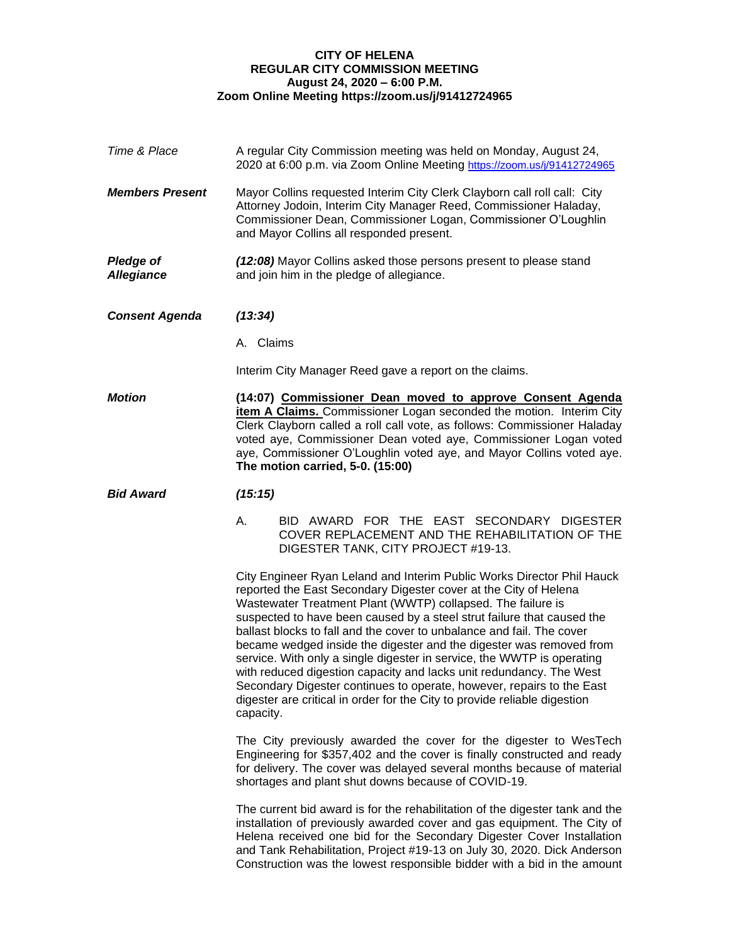## **CITY OF HELENA REGULAR CITY COMMISSION MEETING August 24, 2020 – 6:00 P.M. Zoom Online Meeting https://zoom.us/j/91412724965**

| Time & Place                          | A regular City Commission meeting was held on Monday, August 24,<br>2020 at 6:00 p.m. via Zoom Online Meeting https://zoom.us/j/91412724965                                                                                                                                                                                                                                                                                                                                                                                                                                                                                                                                                                                                             |  |  |  |  |
|---------------------------------------|---------------------------------------------------------------------------------------------------------------------------------------------------------------------------------------------------------------------------------------------------------------------------------------------------------------------------------------------------------------------------------------------------------------------------------------------------------------------------------------------------------------------------------------------------------------------------------------------------------------------------------------------------------------------------------------------------------------------------------------------------------|--|--|--|--|
| <b>Members Present</b>                | Mayor Collins requested Interim City Clerk Clayborn call roll call: City<br>Attorney Jodoin, Interim City Manager Reed, Commissioner Haladay,<br>Commissioner Dean, Commissioner Logan, Commissioner O'Loughlin<br>and Mayor Collins all responded present.                                                                                                                                                                                                                                                                                                                                                                                                                                                                                             |  |  |  |  |
| <b>Pledge of</b><br><b>Allegiance</b> | (12:08) Mayor Collins asked those persons present to please stand<br>and join him in the pledge of allegiance.                                                                                                                                                                                                                                                                                                                                                                                                                                                                                                                                                                                                                                          |  |  |  |  |
| <b>Consent Agenda</b>                 | (13:34)                                                                                                                                                                                                                                                                                                                                                                                                                                                                                                                                                                                                                                                                                                                                                 |  |  |  |  |
|                                       | A. Claims                                                                                                                                                                                                                                                                                                                                                                                                                                                                                                                                                                                                                                                                                                                                               |  |  |  |  |
|                                       | Interim City Manager Reed gave a report on the claims.                                                                                                                                                                                                                                                                                                                                                                                                                                                                                                                                                                                                                                                                                                  |  |  |  |  |
| <b>Motion</b>                         | (14:07) Commissioner Dean moved to approve Consent Agenda<br>item A Claims. Commissioner Logan seconded the motion. Interim City<br>Clerk Clayborn called a roll call vote, as follows: Commissioner Haladay<br>voted aye, Commissioner Dean voted aye, Commissioner Logan voted<br>aye, Commissioner O'Loughlin voted aye, and Mayor Collins voted aye.<br>The motion carried, 5-0. (15:00)                                                                                                                                                                                                                                                                                                                                                            |  |  |  |  |
| <b>Bid Award</b>                      | (15:15)                                                                                                                                                                                                                                                                                                                                                                                                                                                                                                                                                                                                                                                                                                                                                 |  |  |  |  |
|                                       | BID AWARD FOR THE EAST SECONDARY DIGESTER<br>А.<br>COVER REPLACEMENT AND THE REHABILITATION OF THE<br>DIGESTER TANK, CITY PROJECT #19-13.                                                                                                                                                                                                                                                                                                                                                                                                                                                                                                                                                                                                               |  |  |  |  |
|                                       | City Engineer Ryan Leland and Interim Public Works Director Phil Hauck<br>reported the East Secondary Digester cover at the City of Helena<br>Wastewater Treatment Plant (WWTP) collapsed. The failure is<br>suspected to have been caused by a steel strut failure that caused the<br>ballast blocks to fall and the cover to unbalance and fail. The cover<br>became wedged inside the digester and the digester was removed from<br>service. With only a single digester in service, the WWTP is operating<br>with reduced digestion capacity and lacks unit redundancy. The West<br>Secondary Digester continues to operate, however, repairs to the East<br>digester are critical in order for the City to provide reliable digestion<br>capacity. |  |  |  |  |
|                                       | The City previously awarded the cover for the digester to WesTech<br>Engineering for \$357,402 and the cover is finally constructed and ready<br>for delivery. The cover was delayed several months because of material<br>shortages and plant shut downs because of COVID-19.                                                                                                                                                                                                                                                                                                                                                                                                                                                                          |  |  |  |  |
|                                       | The current bid award is for the rehabilitation of the digester tank and the<br>installation of previously awarded cover and gas equipment. The City of<br>Helena received one bid for the Secondary Digester Cover Installation<br>and Tank Rehabilitation, Project #19-13 on July 30, 2020. Dick Anderson<br>Construction was the lowest responsible bidder with a bid in the amount                                                                                                                                                                                                                                                                                                                                                                  |  |  |  |  |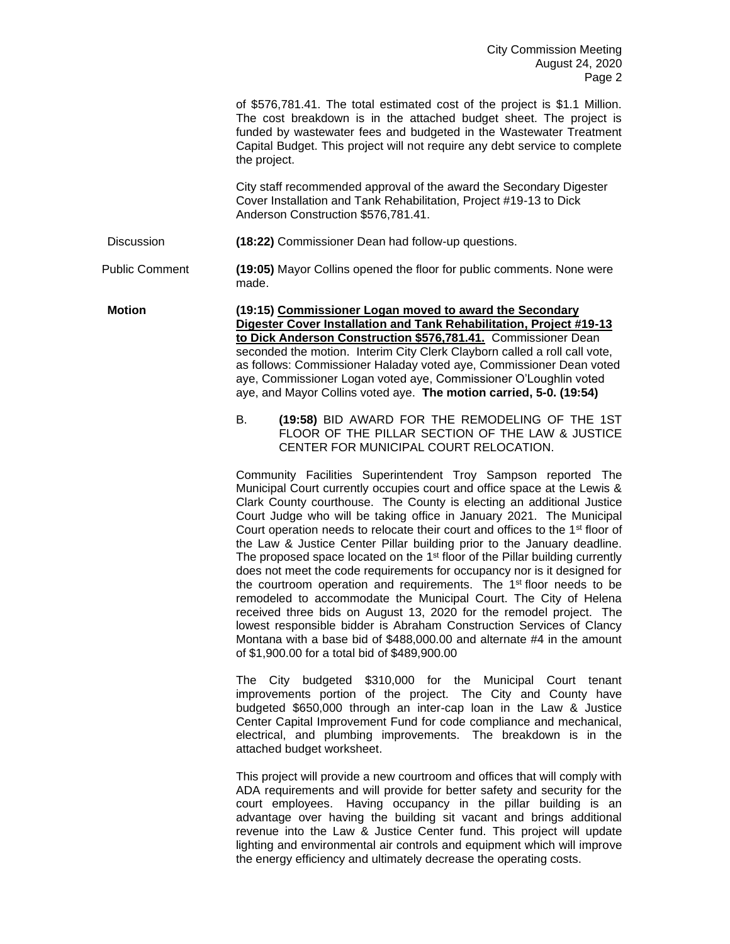of \$576,781.41. The total estimated cost of the project is \$1.1 Million. The cost breakdown is in the attached budget sheet. The project is funded by wastewater fees and budgeted in the Wastewater Treatment Capital Budget. This project will not require any debt service to complete the project.

City staff recommended approval of the award the Secondary Digester Cover Installation and Tank Rehabilitation, Project #19-13 to Dick Anderson Construction \$576,781.41.

Discussion **(18:22)** Commissioner Dean had follow-up questions.

Public Comment **(19:05)** Mayor Collins opened the floor for public comments. None were made.

**Motion (19:15) Commissioner Logan moved to award the Secondary Digester Cover Installation and Tank Rehabilitation, Project #19-13 to Dick Anderson Construction \$576,781.41.** Commissioner Dean seconded the motion. Interim City Clerk Clayborn called a roll call vote, as follows: Commissioner Haladay voted aye, Commissioner Dean voted aye, Commissioner Logan voted aye, Commissioner O'Loughlin voted aye, and Mayor Collins voted aye. **The motion carried, 5-0. (19:54)**

> B. **(19:58)** BID AWARD FOR THE REMODELING OF THE 1ST FLOOR OF THE PILLAR SECTION OF THE LAW & JUSTICE CENTER FOR MUNICIPAL COURT RELOCATION.

> Community Facilities Superintendent Troy Sampson reported The Municipal Court currently occupies court and office space at the Lewis & Clark County courthouse. The County is electing an additional Justice Court Judge who will be taking office in January 2021. The Municipal Court operation needs to relocate their court and offices to the 1<sup>st</sup> floor of the Law & Justice Center Pillar building prior to the January deadline. The proposed space located on the 1<sup>st</sup> floor of the Pillar building currently does not meet the code requirements for occupancy nor is it designed for the courtroom operation and requirements. The 1<sup>st</sup> floor needs to be remodeled to accommodate the Municipal Court. The City of Helena received three bids on August 13, 2020 for the remodel project. The lowest responsible bidder is Abraham Construction Services of Clancy Montana with a base bid of \$488,000.00 and alternate #4 in the amount of \$1,900.00 for a total bid of \$489,900.00

> The City budgeted \$310,000 for the Municipal Court tenant improvements portion of the project. The City and County have budgeted \$650,000 through an inter-cap loan in the Law & Justice Center Capital Improvement Fund for code compliance and mechanical, electrical, and plumbing improvements. The breakdown is in the attached budget worksheet.

> This project will provide a new courtroom and offices that will comply with ADA requirements and will provide for better safety and security for the court employees. Having occupancy in the pillar building is an advantage over having the building sit vacant and brings additional revenue into the Law & Justice Center fund. This project will update lighting and environmental air controls and equipment which will improve the energy efficiency and ultimately decrease the operating costs.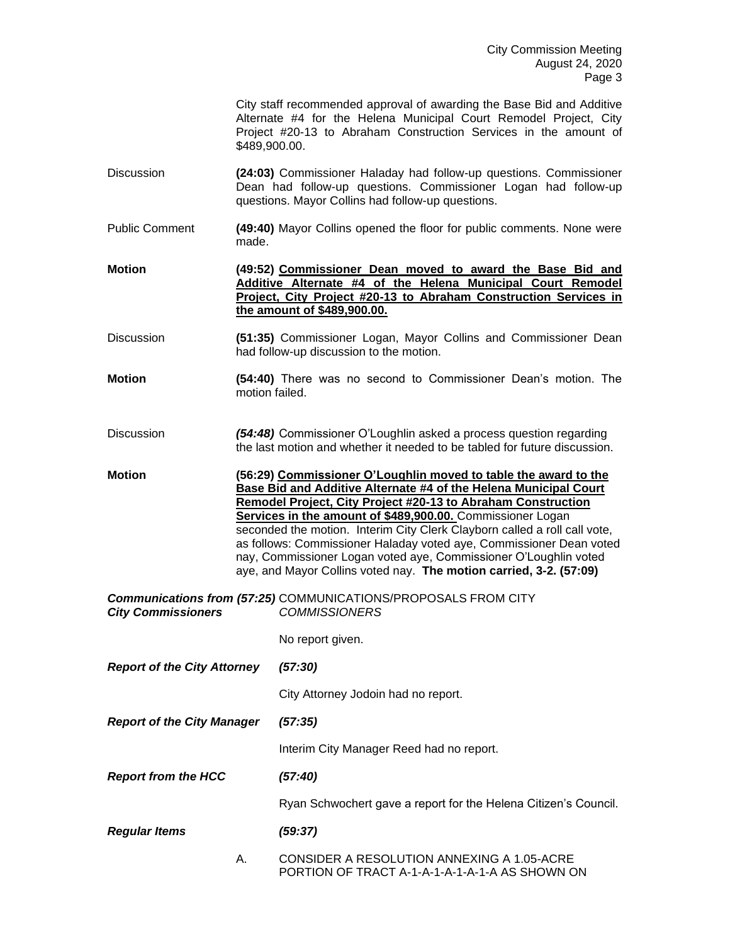| City staff recommended approval of awarding the Base Bid and Additive |  |
|-----------------------------------------------------------------------|--|
| Alternate #4 for the Helena Municipal Court Remodel Project, City     |  |
| Project #20-13 to Abraham Construction Services in the amount of      |  |
| \$489,900,00.                                                         |  |

- Discussion **(24:03)** Commissioner Haladay had follow-up questions. Commissioner Dean had follow-up questions. Commissioner Logan had follow-up questions. Mayor Collins had follow-up questions.
- Public Comment **(49:40)** Mayor Collins opened the floor for public comments. None were made.
- **Motion (49:52) Commissioner Dean moved to award the Base Bid and Additive Alternate #4 of the Helena Municipal Court Remodel Project, City Project #20-13 to Abraham Construction Services in the amount of \$489,900.00.**
- Discussion **(51:35)** Commissioner Logan, Mayor Collins and Commissioner Dean had follow-up discussion to the motion.
- **Motion (54:40)** There was no second to Commissioner Dean's motion. The motion failed.
- Discussion *(54:48)* Commissioner O'Loughlin asked a process question regarding the last motion and whether it needed to be tabled for future discussion.
- **Motion (56:29) Commissioner O'Loughlin moved to table the award to the Base Bid and Additive Alternate #4 of the Helena Municipal Court Remodel Project, City Project #20-13 to Abraham Construction Services in the amount of \$489,900.00.** Commissioner Logan seconded the motion. Interim City Clerk Clayborn called a roll call vote, as follows: Commissioner Haladay voted aye, Commissioner Dean voted nay, Commissioner Logan voted aye, Commissioner O'Loughlin voted aye, and Mayor Collins voted nay. **The motion carried, 3-2. (57:09)**

*Communications from (57:25)* COMMUNICATIONS/PROPOSALS FROM CITY *City Commissioners COMMISSIONERS*

No report given.

*Report of the City Attorney (57:30)*

City Attorney Jodoin had no report.

*Report of the City Manager (57:35)*

Interim City Manager Reed had no report.

*Report from the HCC (57:40)*

Ryan Schwochert gave a report for the Helena Citizen's Council.

*Regular Items (59:37)*

A. CONSIDER A RESOLUTION ANNEXING A 1.05-ACRE PORTION OF TRACT A-1-A-1-A-1-A-1-A AS SHOWN ON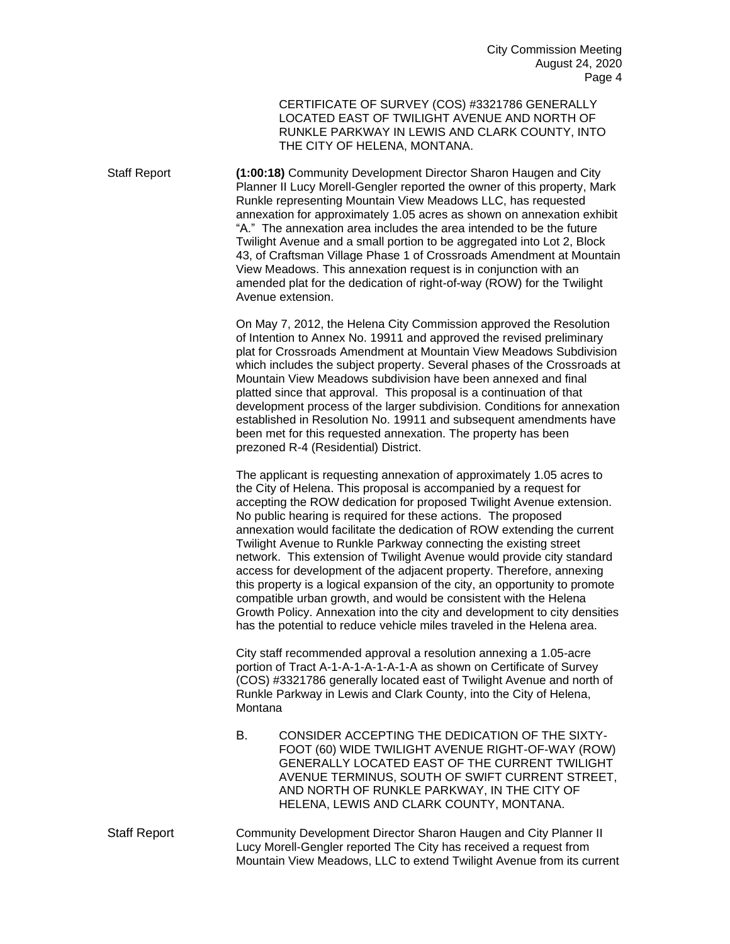CERTIFICATE OF SURVEY (COS) #3321786 GENERALLY LOCATED EAST OF TWILIGHT AVENUE AND NORTH OF RUNKLE PARKWAY IN LEWIS AND CLARK COUNTY, INTO THE CITY OF HELENA, MONTANA.

Staff Report **(1:00:18)** Community Development Director Sharon Haugen and City Planner II Lucy Morell-Gengler reported the owner of this property, Mark Runkle representing Mountain View Meadows LLC, has requested annexation for approximately 1.05 acres as shown on annexation exhibit "A." The annexation area includes the area intended to be the future Twilight Avenue and a small portion to be aggregated into Lot 2, Block 43, of Craftsman Village Phase 1 of Crossroads Amendment at Mountain View Meadows. This annexation request is in conjunction with an amended plat for the dedication of right-of-way (ROW) for the Twilight Avenue extension.

> On May 7, 2012, the Helena City Commission approved the Resolution of Intention to Annex No. 19911 and approved the revised preliminary plat for Crossroads Amendment at Mountain View Meadows Subdivision which includes the subject property. Several phases of the Crossroads at Mountain View Meadows subdivision have been annexed and final platted since that approval. This proposal is a continuation of that development process of the larger subdivision. Conditions for annexation established in Resolution No. 19911 and subsequent amendments have been met for this requested annexation. The property has been prezoned R-4 (Residential) District.

> The applicant is requesting annexation of approximately 1.05 acres to the City of Helena. This proposal is accompanied by a request for accepting the ROW dedication for proposed Twilight Avenue extension. No public hearing is required for these actions. The proposed annexation would facilitate the dedication of ROW extending the current Twilight Avenue to Runkle Parkway connecting the existing street network. This extension of Twilight Avenue would provide city standard access for development of the adjacent property. Therefore, annexing this property is a logical expansion of the city, an opportunity to promote compatible urban growth, and would be consistent with the Helena Growth Policy. Annexation into the city and development to city densities has the potential to reduce vehicle miles traveled in the Helena area.

City staff recommended approval a resolution annexing a 1.05-acre portion of Tract A-1-A-1-A-1-A-1-A as shown on Certificate of Survey (COS) #3321786 generally located east of Twilight Avenue and north of Runkle Parkway in Lewis and Clark County, into the City of Helena, **Montana** 

- B. CONSIDER ACCEPTING THE DEDICATION OF THE SIXTY-FOOT (60) WIDE TWILIGHT AVENUE RIGHT-OF-WAY (ROW) GENERALLY LOCATED EAST OF THE CURRENT TWILIGHT AVENUE TERMINUS, SOUTH OF SWIFT CURRENT STREET, AND NORTH OF RUNKLE PARKWAY, IN THE CITY OF HELENA, LEWIS AND CLARK COUNTY, MONTANA.
- Staff Report Community Development Director Sharon Haugen and City Planner II Lucy Morell-Gengler reported The City has received a request from Mountain View Meadows, LLC to extend Twilight Avenue from its current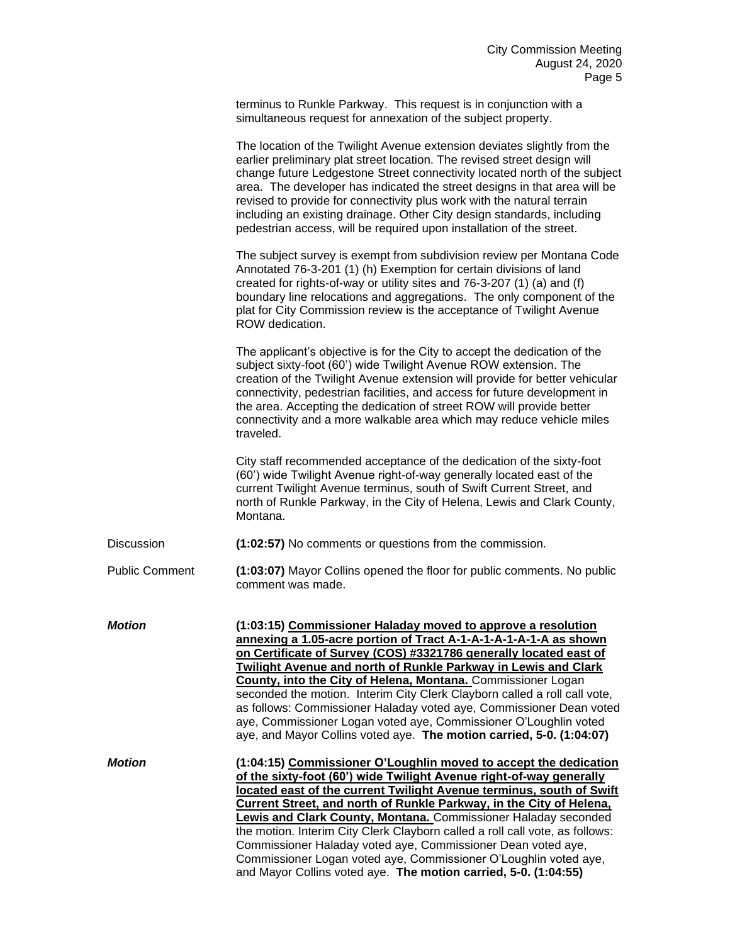terminus to Runkle Parkway. This request is in conjunction with a simultaneous request for annexation of the subject property.

|                       | The location of the Twilight Avenue extension deviates slightly from the<br>earlier preliminary plat street location. The revised street design will<br>change future Ledgestone Street connectivity located north of the subject<br>area. The developer has indicated the street designs in that area will be<br>revised to provide for connectivity plus work with the natural terrain<br>including an existing drainage. Other City design standards, including<br>pedestrian access, will be required upon installation of the street.                                                                                                      |
|-----------------------|-------------------------------------------------------------------------------------------------------------------------------------------------------------------------------------------------------------------------------------------------------------------------------------------------------------------------------------------------------------------------------------------------------------------------------------------------------------------------------------------------------------------------------------------------------------------------------------------------------------------------------------------------|
|                       | The subject survey is exempt from subdivision review per Montana Code<br>Annotated 76-3-201 (1) (h) Exemption for certain divisions of land<br>created for rights-of-way or utility sites and 76-3-207 (1) (a) and (f)<br>boundary line relocations and aggregations. The only component of the<br>plat for City Commission review is the acceptance of Twilight Avenue<br>ROW dedication.                                                                                                                                                                                                                                                      |
|                       | The applicant's objective is for the City to accept the dedication of the<br>subject sixty-foot (60') wide Twilight Avenue ROW extension. The<br>creation of the Twilight Avenue extension will provide for better vehicular<br>connectivity, pedestrian facilities, and access for future development in<br>the area. Accepting the dedication of street ROW will provide better<br>connectivity and a more walkable area which may reduce vehicle miles<br>traveled.                                                                                                                                                                          |
|                       | City staff recommended acceptance of the dedication of the sixty-foot<br>(60') wide Twilight Avenue right-of-way generally located east of the<br>current Twilight Avenue terminus, south of Swift Current Street, and<br>north of Runkle Parkway, in the City of Helena, Lewis and Clark County,<br>Montana.                                                                                                                                                                                                                                                                                                                                   |
| Discussion            | (1:02:57) No comments or questions from the commission.                                                                                                                                                                                                                                                                                                                                                                                                                                                                                                                                                                                         |
| <b>Public Comment</b> | (1:03:07) Mayor Collins opened the floor for public comments. No public<br>comment was made.                                                                                                                                                                                                                                                                                                                                                                                                                                                                                                                                                    |
| <b>Motion</b>         | (1:03:15) Commissioner Haladay moved to approve a resolution<br>annexing a 1.05-acre portion of Tract A-1-A-1-A-1-A-1-A as shown<br>on Certificate of Survey (COS) #3321786 generally located east of<br>Twilight Avenue and north of Runkle Parkway in Lewis and Clark<br><b>County, into the City of Helena, Montana.</b> Commissioner Logan<br>seconded the motion. Interim City Clerk Clayborn called a roll call vote,<br>as follows: Commissioner Haladay voted aye, Commissioner Dean voted<br>aye, Commissioner Logan voted aye, Commissioner O'Loughlin voted<br>aye, and Mayor Collins voted aye. The motion carried, 5-0. (1:04:07)  |
| Motion                | (1:04:15) Commissioner O'Loughlin moved to accept the dedication<br>of the sixty-foot (60') wide Twilight Avenue right-of-way generally<br>located east of the current Twilight Avenue terminus, south of Swift<br>Current Street, and north of Runkle Parkway, in the City of Helena,<br>Lewis and Clark County, Montana. Commissioner Haladay seconded<br>the motion. Interim City Clerk Clayborn called a roll call vote, as follows:<br>Commissioner Haladay voted aye, Commissioner Dean voted aye,<br>Commissioner Logan voted aye, Commissioner O'Loughlin voted aye,<br>and Mayor Collins voted aye. The motion carried, 5-0. (1:04:55) |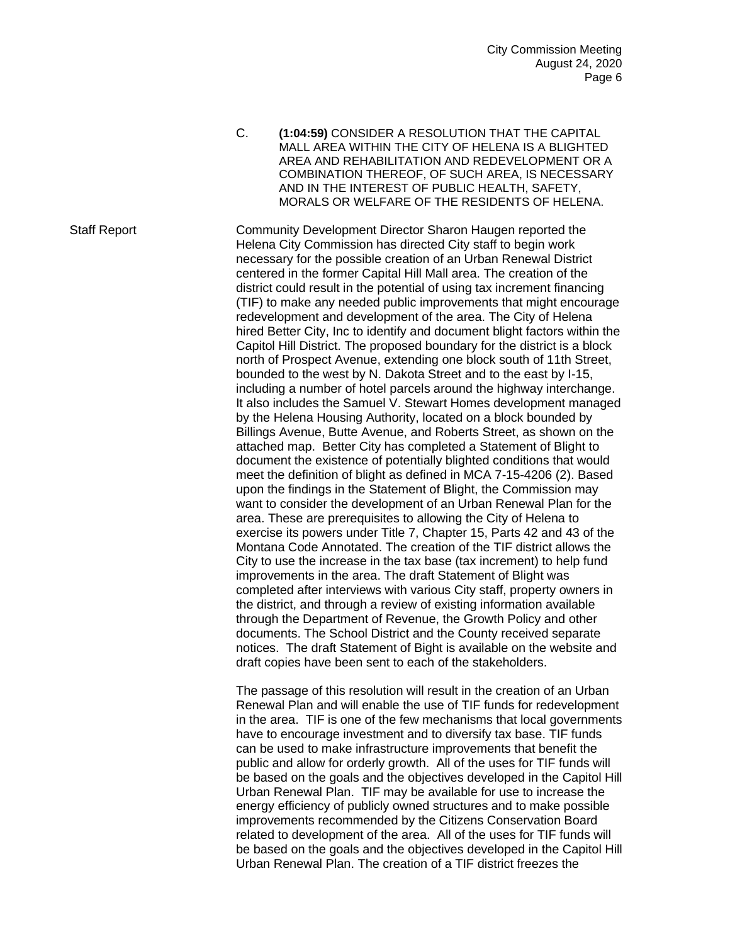C. **(1:04:59)** CONSIDER A RESOLUTION THAT THE CAPITAL MALL AREA WITHIN THE CITY OF HELENA IS A BLIGHTED AREA AND REHABILITATION AND REDEVELOPMENT OR A COMBINATION THEREOF, OF SUCH AREA, IS NECESSARY AND IN THE INTEREST OF PUBLIC HEALTH, SAFETY, MORALS OR WELFARE OF THE RESIDENTS OF HELENA.

Staff Report Community Development Director Sharon Haugen reported the Helena City Commission has directed City staff to begin work necessary for the possible creation of an Urban Renewal District centered in the former Capital Hill Mall area. The creation of the district could result in the potential of using tax increment financing (TIF) to make any needed public improvements that might encourage redevelopment and development of the area. The City of Helena hired Better City, Inc to identify and document blight factors within the Capitol Hill District. The proposed boundary for the district is a block north of Prospect Avenue, extending one block south of 11th Street, bounded to the west by N. Dakota Street and to the east by I-15, including a number of hotel parcels around the highway interchange. It also includes the Samuel V. Stewart Homes development managed by the Helena Housing Authority, located on a block bounded by Billings Avenue, Butte Avenue, and Roberts Street, as shown on the attached map. Better City has completed a Statement of Blight to document the existence of potentially blighted conditions that would meet the definition of blight as defined in MCA 7-15-4206 (2). Based upon the findings in the Statement of Blight, the Commission may want to consider the development of an Urban Renewal Plan for the area. These are prerequisites to allowing the City of Helena to exercise its powers under Title 7, Chapter 15, Parts 42 and 43 of the Montana Code Annotated. The creation of the TIF district allows the City to use the increase in the tax base (tax increment) to help fund improvements in the area. The draft Statement of Blight was completed after interviews with various City staff, property owners in the district, and through a review of existing information available through the Department of Revenue, the Growth Policy and other documents. The School District and the County received separate notices. The draft Statement of Bight is available on the website and draft copies have been sent to each of the stakeholders.

> The passage of this resolution will result in the creation of an Urban Renewal Plan and will enable the use of TIF funds for redevelopment in the area. TIF is one of the few mechanisms that local governments have to encourage investment and to diversify tax base. TIF funds can be used to make infrastructure improvements that benefit the public and allow for orderly growth. All of the uses for TIF funds will be based on the goals and the objectives developed in the Capitol Hill Urban Renewal Plan. TIF may be available for use to increase the energy efficiency of publicly owned structures and to make possible improvements recommended by the Citizens Conservation Board related to development of the area. All of the uses for TIF funds will be based on the goals and the objectives developed in the Capitol Hill Urban Renewal Plan. The creation of a TIF district freezes the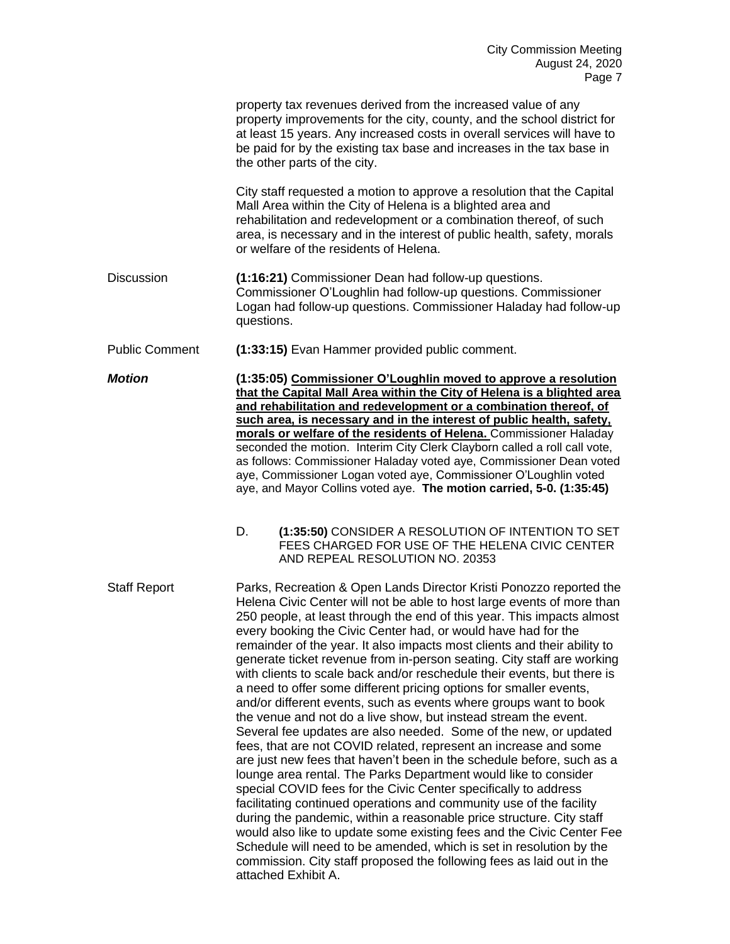|                       | property tax revenues derived from the increased value of any<br>property improvements for the city, county, and the school district for<br>at least 15 years. Any increased costs in overall services will have to<br>be paid for by the existing tax base and increases in the tax base in<br>the other parts of the city.                                                                                                                                                                                                                                                                                                                                                                                                                                                                                                                                                                                                                                                                                                                                                                                                                                                                                                                                                                                                                                                                                                                                                                  |
|-----------------------|-----------------------------------------------------------------------------------------------------------------------------------------------------------------------------------------------------------------------------------------------------------------------------------------------------------------------------------------------------------------------------------------------------------------------------------------------------------------------------------------------------------------------------------------------------------------------------------------------------------------------------------------------------------------------------------------------------------------------------------------------------------------------------------------------------------------------------------------------------------------------------------------------------------------------------------------------------------------------------------------------------------------------------------------------------------------------------------------------------------------------------------------------------------------------------------------------------------------------------------------------------------------------------------------------------------------------------------------------------------------------------------------------------------------------------------------------------------------------------------------------|
|                       | City staff requested a motion to approve a resolution that the Capital<br>Mall Area within the City of Helena is a blighted area and<br>rehabilitation and redevelopment or a combination thereof, of such<br>area, is necessary and in the interest of public health, safety, morals<br>or welfare of the residents of Helena.                                                                                                                                                                                                                                                                                                                                                                                                                                                                                                                                                                                                                                                                                                                                                                                                                                                                                                                                                                                                                                                                                                                                                               |
| <b>Discussion</b>     | (1:16:21) Commissioner Dean had follow-up questions.<br>Commissioner O'Loughlin had follow-up questions. Commissioner<br>Logan had follow-up questions. Commissioner Haladay had follow-up<br>questions.                                                                                                                                                                                                                                                                                                                                                                                                                                                                                                                                                                                                                                                                                                                                                                                                                                                                                                                                                                                                                                                                                                                                                                                                                                                                                      |
| <b>Public Comment</b> | (1:33:15) Evan Hammer provided public comment.                                                                                                                                                                                                                                                                                                                                                                                                                                                                                                                                                                                                                                                                                                                                                                                                                                                                                                                                                                                                                                                                                                                                                                                                                                                                                                                                                                                                                                                |
| <b>Motion</b>         | (1:35:05) Commissioner O'Loughlin moved to approve a resolution<br>that the Capital Mall Area within the City of Helena is a blighted area<br>and rehabilitation and redevelopment or a combination thereof, of<br>such area, is necessary and in the interest of public health, safety,<br>morals or welfare of the residents of Helena. Commissioner Haladay<br>seconded the motion. Interim City Clerk Clayborn called a roll call vote,<br>as follows: Commissioner Haladay voted aye, Commissioner Dean voted<br>aye, Commissioner Logan voted aye, Commissioner O'Loughlin voted<br>aye, and Mayor Collins voted aye. The motion carried, 5-0. (1:35:45)                                                                                                                                                                                                                                                                                                                                                                                                                                                                                                                                                                                                                                                                                                                                                                                                                                |
|                       | D.<br>(1:35:50) CONSIDER A RESOLUTION OF INTENTION TO SET<br>FEES CHARGED FOR USE OF THE HELENA CIVIC CENTER<br>AND REPEAL RESOLUTION NO. 20353                                                                                                                                                                                                                                                                                                                                                                                                                                                                                                                                                                                                                                                                                                                                                                                                                                                                                                                                                                                                                                                                                                                                                                                                                                                                                                                                               |
| <b>Staff Report</b>   | Parks, Recreation & Open Lands Director Kristi Ponozzo reported the<br>Helena Civic Center will not be able to host large events of more than<br>250 people, at least through the end of this year. This impacts almost<br>every booking the Civic Center had, or would have had for the<br>remainder of the year. It also impacts most clients and their ability to<br>generate ticket revenue from in-person seating. City staff are working<br>with clients to scale back and/or reschedule their events, but there is<br>a need to offer some different pricing options for smaller events,<br>and/or different events, such as events where groups want to book<br>the venue and not do a live show, but instead stream the event.<br>Several fee updates are also needed. Some of the new, or updated<br>fees, that are not COVID related, represent an increase and some<br>are just new fees that haven't been in the schedule before, such as a<br>lounge area rental. The Parks Department would like to consider<br>special COVID fees for the Civic Center specifically to address<br>facilitating continued operations and community use of the facility<br>during the pandemic, within a reasonable price structure. City staff<br>would also like to update some existing fees and the Civic Center Fee<br>Schedule will need to be amended, which is set in resolution by the<br>commission. City staff proposed the following fees as laid out in the<br>attached Exhibit A. |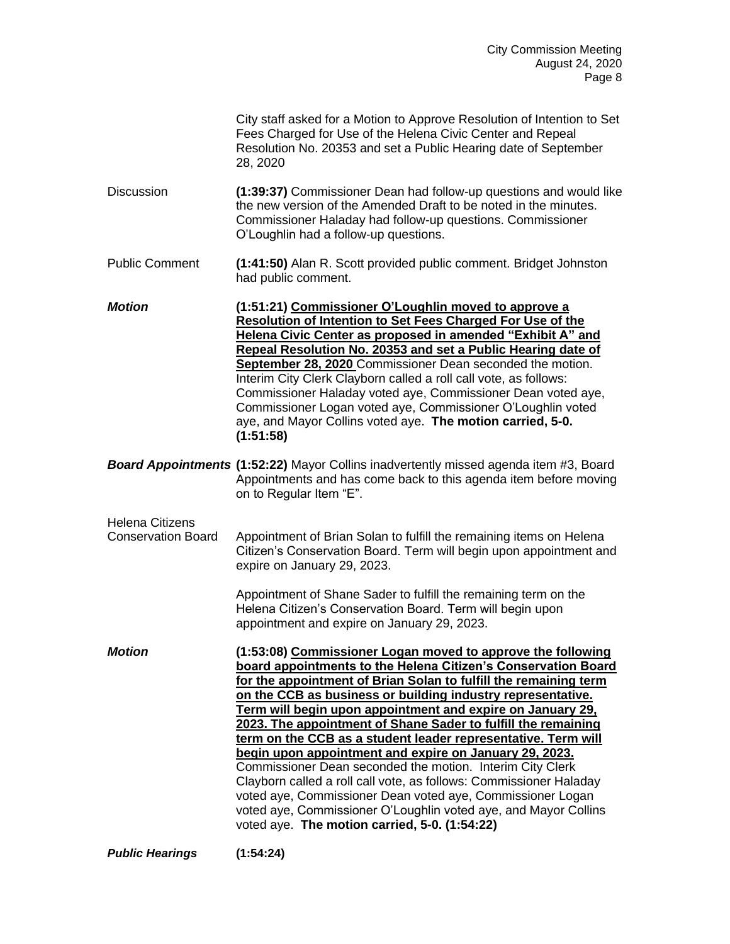|                                                     | City staff asked for a Motion to Approve Resolution of Intention to Set<br>Fees Charged for Use of the Helena Civic Center and Repeal<br>Resolution No. 20353 and set a Public Hearing date of September<br>28, 2020                                                                                                                                                                                                                                                                                                                                                                                                                                                                                                                                                                                                                           |  |  |  |
|-----------------------------------------------------|------------------------------------------------------------------------------------------------------------------------------------------------------------------------------------------------------------------------------------------------------------------------------------------------------------------------------------------------------------------------------------------------------------------------------------------------------------------------------------------------------------------------------------------------------------------------------------------------------------------------------------------------------------------------------------------------------------------------------------------------------------------------------------------------------------------------------------------------|--|--|--|
| <b>Discussion</b>                                   | (1:39:37) Commissioner Dean had follow-up questions and would like<br>the new version of the Amended Draft to be noted in the minutes.<br>Commissioner Haladay had follow-up questions. Commissioner<br>O'Loughlin had a follow-up questions.                                                                                                                                                                                                                                                                                                                                                                                                                                                                                                                                                                                                  |  |  |  |
| <b>Public Comment</b>                               | (1:41:50) Alan R. Scott provided public comment. Bridget Johnston<br>had public comment.                                                                                                                                                                                                                                                                                                                                                                                                                                                                                                                                                                                                                                                                                                                                                       |  |  |  |
| <b>Motion</b>                                       | (1:51:21) Commissioner O'Loughlin moved to approve a<br><b>Resolution of Intention to Set Fees Charged For Use of the</b><br>Helena Civic Center as proposed in amended "Exhibit A" and<br>Repeal Resolution No. 20353 and set a Public Hearing date of<br>September 28, 2020 Commissioner Dean seconded the motion.<br>Interim City Clerk Clayborn called a roll call vote, as follows:<br>Commissioner Haladay voted aye, Commissioner Dean voted aye,<br>Commissioner Logan voted aye, Commissioner O'Loughlin voted<br>aye, and Mayor Collins voted aye. The motion carried, 5-0.<br>(1:51:58)                                                                                                                                                                                                                                             |  |  |  |
|                                                     | <b>Board Appointments (1:52:22)</b> Mayor Collins inadvertently missed agenda item #3, Board<br>Appointments and has come back to this agenda item before moving<br>on to Regular Item "E".                                                                                                                                                                                                                                                                                                                                                                                                                                                                                                                                                                                                                                                    |  |  |  |
| <b>Helena Citizens</b><br><b>Conservation Board</b> | Appointment of Brian Solan to fulfill the remaining items on Helena<br>Citizen's Conservation Board. Term will begin upon appointment and<br>expire on January 29, 2023.                                                                                                                                                                                                                                                                                                                                                                                                                                                                                                                                                                                                                                                                       |  |  |  |
|                                                     | Appointment of Shane Sader to fulfill the remaining term on the<br>Helena Citizen's Conservation Board. Term will begin upon<br>appointment and expire on January 29, 2023.                                                                                                                                                                                                                                                                                                                                                                                                                                                                                                                                                                                                                                                                    |  |  |  |
| <b>Motion</b>                                       | (1:53:08) Commissioner Logan moved to approve the following<br>board appointments to the Helena Citizen's Conservation Board<br>for the appointment of Brian Solan to fulfill the remaining term<br>on the CCB as business or building industry representative.<br>Term will begin upon appointment and expire on January 29,<br>2023. The appointment of Shane Sader to fulfill the remaining<br>term on the CCB as a student leader representative. Term will<br>begin upon appointment and expire on January 29, 2023.<br>Commissioner Dean seconded the motion. Interim City Clerk<br>Clayborn called a roll call vote, as follows: Commissioner Haladay<br>voted aye, Commissioner Dean voted aye, Commissioner Logan<br>voted aye, Commissioner O'Loughlin voted aye, and Mayor Collins<br>voted aye. The motion carried, 5-0. (1:54:22) |  |  |  |

*Public Hearings* **(1:54:24)**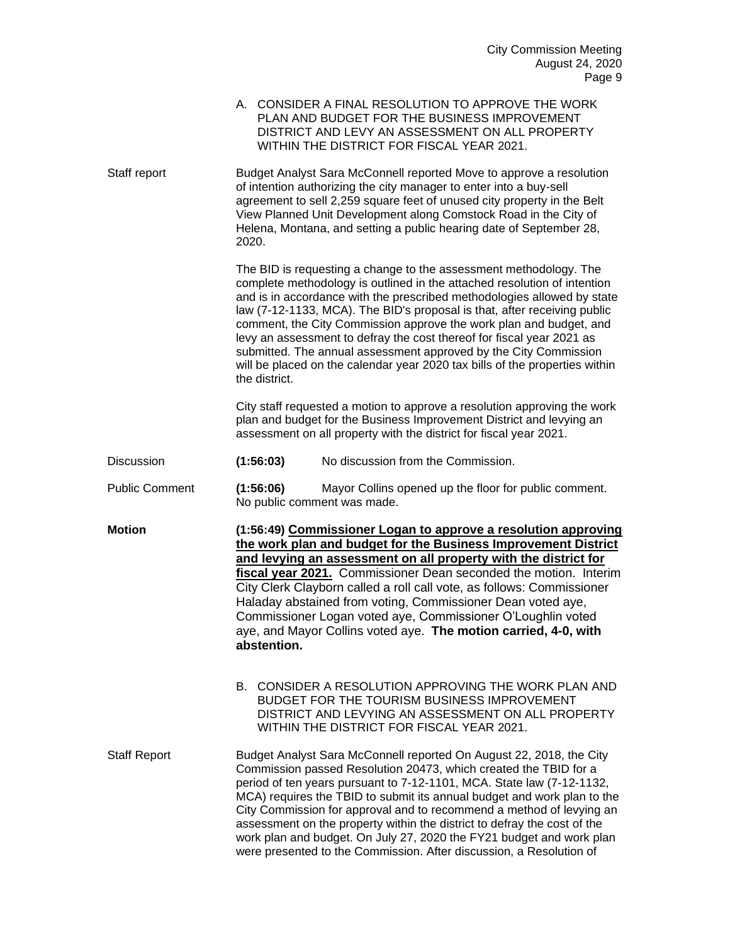|                       | A. CONSIDER A FINAL RESOLUTION TO APPROVE THE WORK<br>PLAN AND BUDGET FOR THE BUSINESS IMPROVEMENT<br>DISTRICT AND LEVY AN ASSESSMENT ON ALL PROPERTY<br>WITHIN THE DISTRICT FOR FISCAL YEAR 2021.                                                                                                                                                                                                                                                                                                                                                                                                                      |  |  |  |
|-----------------------|-------------------------------------------------------------------------------------------------------------------------------------------------------------------------------------------------------------------------------------------------------------------------------------------------------------------------------------------------------------------------------------------------------------------------------------------------------------------------------------------------------------------------------------------------------------------------------------------------------------------------|--|--|--|
| Staff report          | Budget Analyst Sara McConnell reported Move to approve a resolution<br>of intention authorizing the city manager to enter into a buy-sell<br>agreement to sell 2,259 square feet of unused city property in the Belt<br>View Planned Unit Development along Comstock Road in the City of<br>Helena, Montana, and setting a public hearing date of September 28,<br>2020.                                                                                                                                                                                                                                                |  |  |  |
|                       | The BID is requesting a change to the assessment methodology. The<br>complete methodology is outlined in the attached resolution of intention<br>and is in accordance with the prescribed methodologies allowed by state<br>law (7-12-1133, MCA). The BID's proposal is that, after receiving public<br>comment, the City Commission approve the work plan and budget, and<br>levy an assessment to defray the cost thereof for fiscal year 2021 as<br>submitted. The annual assessment approved by the City Commission<br>will be placed on the calendar year 2020 tax bills of the properties within<br>the district. |  |  |  |
|                       | City staff requested a motion to approve a resolution approving the work<br>plan and budget for the Business Improvement District and levying an<br>assessment on all property with the district for fiscal year 2021.                                                                                                                                                                                                                                                                                                                                                                                                  |  |  |  |
| Discussion            | (1:56:03)<br>No discussion from the Commission.                                                                                                                                                                                                                                                                                                                                                                                                                                                                                                                                                                         |  |  |  |
| <b>Public Comment</b> | Mayor Collins opened up the floor for public comment.<br>(1:56:06)<br>No public comment was made.                                                                                                                                                                                                                                                                                                                                                                                                                                                                                                                       |  |  |  |
| <b>Motion</b>         | (1:56:49) Commissioner Logan to approve a resolution approving<br>the work plan and budget for the Business Improvement District<br>and levying an assessment on all property with the district for<br>fiscal year 2021. Commissioner Dean seconded the motion. Interim<br>City Clerk Clayborn called a roll call vote, as follows: Commissioner<br>Haladay abstained from voting, Commissioner Dean voted aye,<br>Commissioner Logan voted aye, Commissioner O'Loughlin voted<br>aye, and Mayor Collins voted aye. The motion carried, 4-0, with<br>abstention.                                                        |  |  |  |
|                       | B. CONSIDER A RESOLUTION APPROVING THE WORK PLAN AND<br>BUDGET FOR THE TOURISM BUSINESS IMPROVEMENT<br>DISTRICT AND LEVYING AN ASSESSMENT ON ALL PROPERTY<br>WITHIN THE DISTRICT FOR FISCAL YEAR 2021.                                                                                                                                                                                                                                                                                                                                                                                                                  |  |  |  |
| <b>Staff Report</b>   | Budget Analyst Sara McConnell reported On August 22, 2018, the City<br>Commission passed Resolution 20473, which created the TBID for a<br>period of ten years pursuant to 7-12-1101, MCA. State law (7-12-1132,<br>MCA) requires the TBID to submit its annual budget and work plan to the<br>City Commission for approval and to recommend a method of levying an<br>assessment on the property within the district to defray the cost of the<br>work plan and budget. On July 27, 2020 the FY21 budget and work plan<br>were presented to the Commission. After discussion, a Resolution of                          |  |  |  |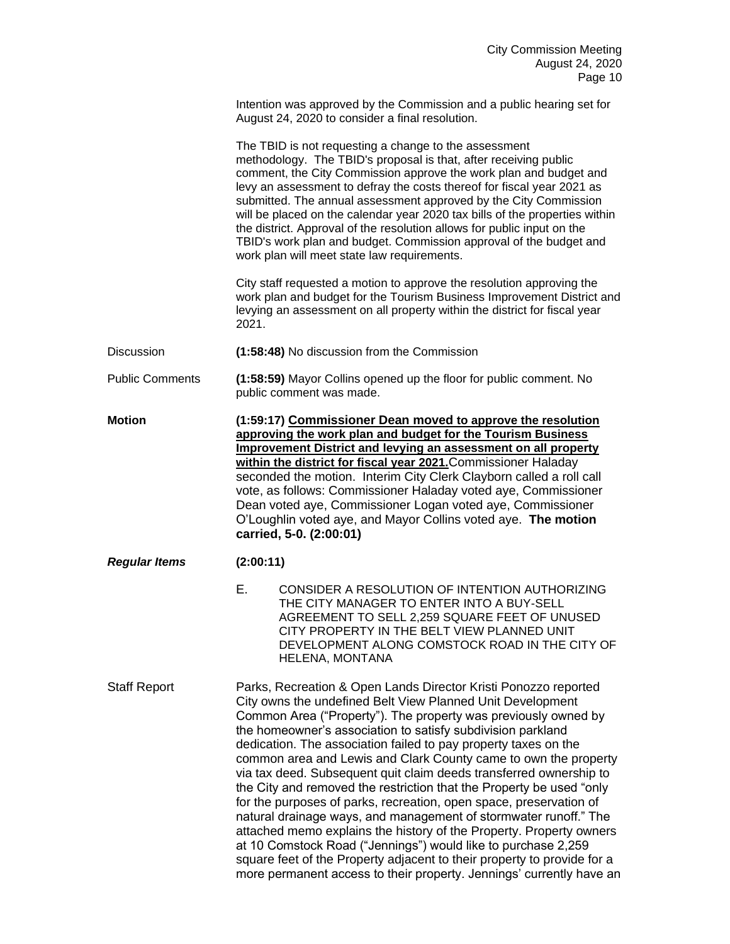Intention was approved by the Commission and a public hearing set for August 24, 2020 to consider a final resolution.

The TBID is not requesting a change to the assessment methodology. The TBID's proposal is that, after receiving public comment, the City Commission approve the work plan and budget and levy an assessment to defray the costs thereof for fiscal year 2021 as submitted. The annual assessment approved by the City Commission will be placed on the calendar year 2020 tax bills of the properties within the district. Approval of the resolution allows for public input on the TBID's work plan and budget. Commission approval of the budget and work plan will meet state law requirements.

City staff requested a motion to approve the resolution approving the work plan and budget for the Tourism Business Improvement District and levying an assessment on all property within the district for fiscal year 2021.

Discussion **(1:58:48)** No discussion from the Commission

Public Comments **(1:58:59)** Mayor Collins opened up the floor for public comment. No public comment was made.

**Motion (1:59:17) Commissioner Dean moved to approve the resolution approving the work plan and budget for the Tourism Business Improvement District and levying an assessment on all property within the district for fiscal year 2021.**Commissioner Haladay seconded the motion. Interim City Clerk Clayborn called a roll call vote, as follows: Commissioner Haladay voted aye, Commissioner Dean voted aye, Commissioner Logan voted aye, Commissioner O'Loughlin voted aye, and Mayor Collins voted aye. **The motion carried, 5-0. (2:00:01)**

*Regular Items* **(2:00:11)**

E. CONSIDER A RESOLUTION OF INTENTION AUTHORIZING THE CITY MANAGER TO ENTER INTO A BUY-SELL AGREEMENT TO SELL 2,259 SQUARE FEET OF UNUSED CITY PROPERTY IN THE BELT VIEW PLANNED UNIT DEVELOPMENT ALONG COMSTOCK ROAD IN THE CITY OF HELENA, MONTANA

Staff Report Parks, Recreation & Open Lands Director Kristi Ponozzo reported City owns the undefined Belt View Planned Unit Development Common Area ("Property"). The property was previously owned by the homeowner's association to satisfy subdivision parkland dedication. The association failed to pay property taxes on the common area and Lewis and Clark County came to own the property via tax deed. Subsequent quit claim deeds transferred ownership to the City and removed the restriction that the Property be used "only for the purposes of parks, recreation, open space, preservation of natural drainage ways, and management of stormwater runoff." The attached memo explains the history of the Property. Property owners at 10 Comstock Road ("Jennings") would like to purchase 2,259 square feet of the Property adjacent to their property to provide for a more permanent access to their property. Jennings' currently have an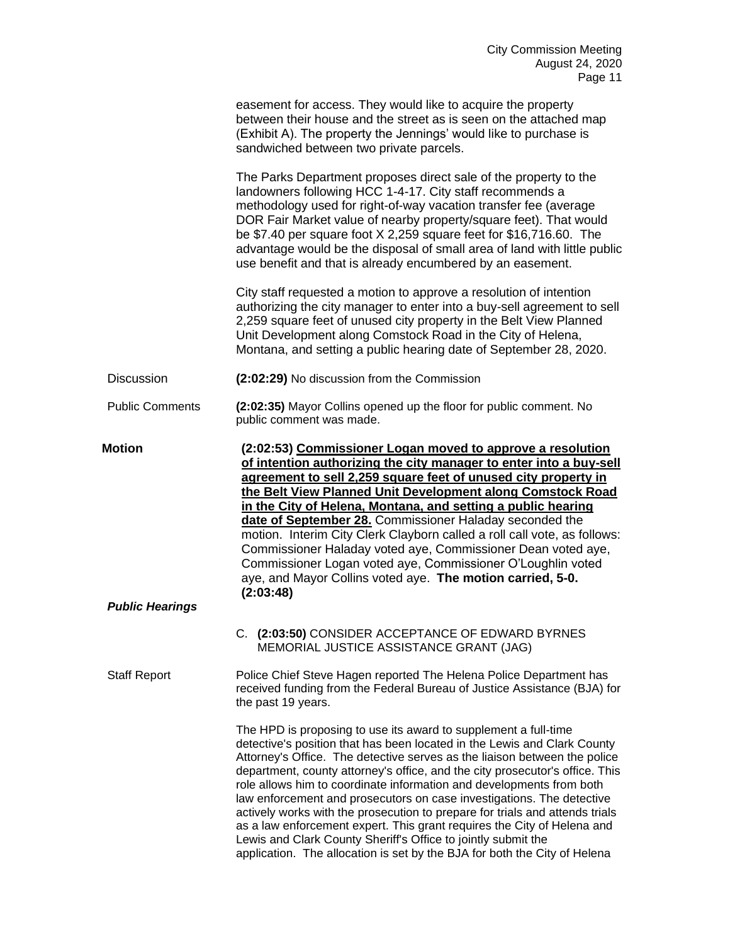|                        | easement for access. They would like to acquire the property<br>between their house and the street as is seen on the attached map<br>(Exhibit A). The property the Jennings' would like to purchase is<br>sandwiched between two private parcels.                                                                                                                                                                                                                                                                                                                                                                                                                                     |
|------------------------|---------------------------------------------------------------------------------------------------------------------------------------------------------------------------------------------------------------------------------------------------------------------------------------------------------------------------------------------------------------------------------------------------------------------------------------------------------------------------------------------------------------------------------------------------------------------------------------------------------------------------------------------------------------------------------------|
|                        | The Parks Department proposes direct sale of the property to the<br>landowners following HCC 1-4-17. City staff recommends a<br>methodology used for right-of-way vacation transfer fee (average<br>DOR Fair Market value of nearby property/square feet). That would<br>be \$7.40 per square foot X 2,259 square feet for \$16,716.60. The<br>advantage would be the disposal of small area of land with little public<br>use benefit and that is already encumbered by an easement.                                                                                                                                                                                                 |
|                        | City staff requested a motion to approve a resolution of intention<br>authorizing the city manager to enter into a buy-sell agreement to sell<br>2,259 square feet of unused city property in the Belt View Planned<br>Unit Development along Comstock Road in the City of Helena,<br>Montana, and setting a public hearing date of September 28, 2020.                                                                                                                                                                                                                                                                                                                               |
| <b>Discussion</b>      | (2:02:29) No discussion from the Commission                                                                                                                                                                                                                                                                                                                                                                                                                                                                                                                                                                                                                                           |
| <b>Public Comments</b> | (2:02:35) Mayor Collins opened up the floor for public comment. No<br>public comment was made.                                                                                                                                                                                                                                                                                                                                                                                                                                                                                                                                                                                        |
| <b>Motion</b>          | (2:02:53) Commissioner Logan moved to approve a resolution<br>of intention authorizing the city manager to enter into a buy-sell<br>agreement to sell 2,259 square feet of unused city property in<br>the Belt View Planned Unit Development along Comstock Road<br>in the City of Helena, Montana, and setting a public hearing<br>date of September 28. Commissioner Haladay seconded the<br>motion. Interim City Clerk Clayborn called a roll call vote, as follows:<br>Commissioner Haladay voted aye, Commissioner Dean voted aye,<br>Commissioner Logan voted aye, Commissioner O'Loughlin voted<br>aye, and Mayor Collins voted aye. The motion carried, 5-0.<br>(2:03:48)     |
| <b>Public Hearings</b> |                                                                                                                                                                                                                                                                                                                                                                                                                                                                                                                                                                                                                                                                                       |
|                        | C. (2:03:50) CONSIDER ACCEPTANCE OF EDWARD BYRNES<br>MEMORIAL JUSTICE ASSISTANCE GRANT (JAG)                                                                                                                                                                                                                                                                                                                                                                                                                                                                                                                                                                                          |
| <b>Staff Report</b>    | Police Chief Steve Hagen reported The Helena Police Department has<br>received funding from the Federal Bureau of Justice Assistance (BJA) for<br>the past 19 years.                                                                                                                                                                                                                                                                                                                                                                                                                                                                                                                  |
|                        | The HPD is proposing to use its award to supplement a full-time<br>detective's position that has been located in the Lewis and Clark County<br>Attorney's Office. The detective serves as the liaison between the police<br>department, county attorney's office, and the city prosecutor's office. This<br>role allows him to coordinate information and developments from both<br>law enforcement and prosecutors on case investigations. The detective<br>actively works with the prosecution to prepare for trials and attends trials<br>as a law enforcement expert. This grant requires the City of Helena and<br>Lewis and Clark County Sheriff's Office to jointly submit the |

application. The allocation is set by the BJA for both the City of Helena